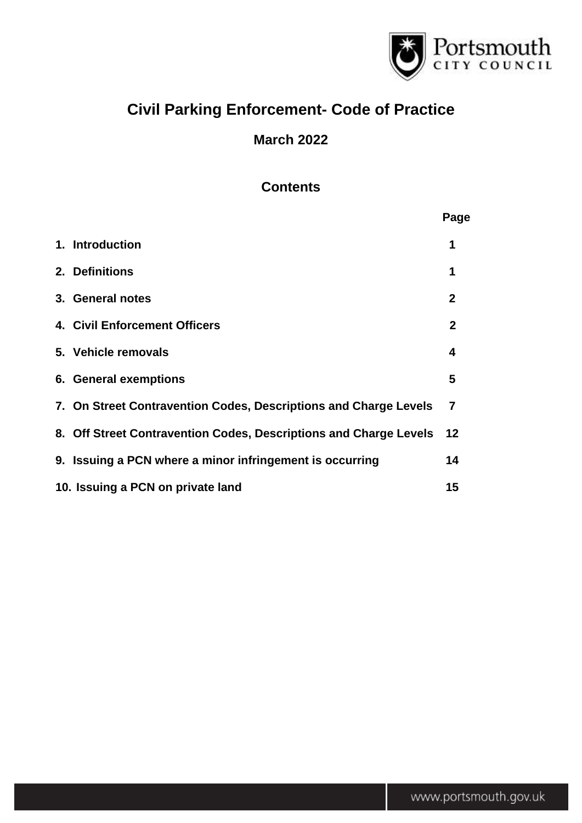

# **Civil Parking Enforcement- Code of Practice**

# **March 2022**

# **Contents**

|                                                                   | Page         |
|-------------------------------------------------------------------|--------------|
| 1. Introduction                                                   | 1            |
| 2. Definitions                                                    | 1            |
| 3. General notes                                                  | $\mathbf{2}$ |
| 4. Civil Enforcement Officers                                     | $\mathbf{2}$ |
| 5. Vehicle removals                                               | 4            |
| 6. General exemptions                                             | 5            |
| 7. On Street Contravention Codes, Descriptions and Charge Levels  | 7            |
| 8. Off Street Contravention Codes, Descriptions and Charge Levels | 12           |
| 9. Issuing a PCN where a minor infringement is occurring          | 14           |
| 10. Issuing a PCN on private land                                 | 15           |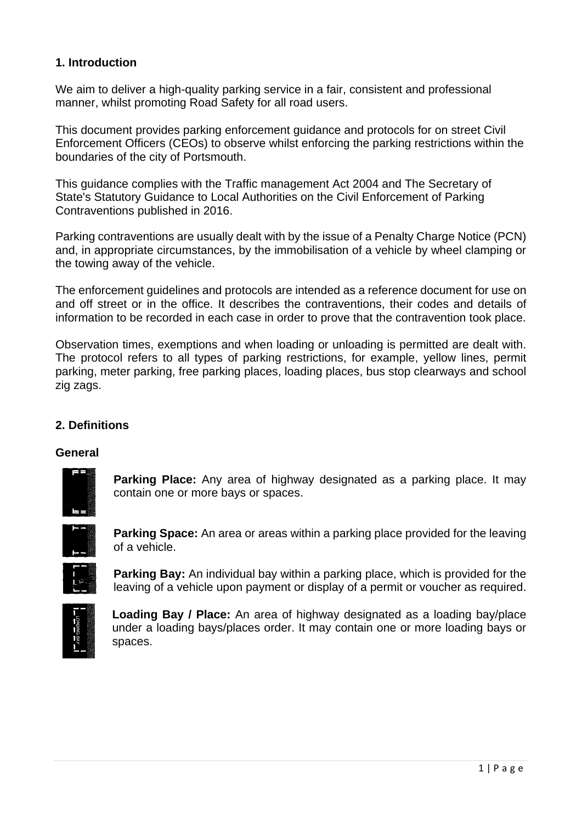# **1. Introduction**

We aim to deliver a high-quality parking service in a fair, consistent and professional manner, whilst promoting Road Safety for all road users.

This document provides parking enforcement guidance and protocols for on street Civil Enforcement Officers (CEOs) to observe whilst enforcing the parking restrictions within the boundaries of the city of Portsmouth.

This guidance complies with the Traffic management Act 2004 and The Secretary of State's Statutory Guidance to Local Authorities on the Civil Enforcement of Parking Contraventions published in 2016.

Parking contraventions are usually dealt with by the issue of a Penalty Charge Notice (PCN) and, in appropriate circumstances, by the immobilisation of a vehicle by wheel clamping or the towing away of the vehicle.

The enforcement guidelines and protocols are intended as a reference document for use on and off street or in the office. It describes the contraventions, their codes and details of information to be recorded in each case in order to prove that the contravention took place.

Observation times, exemptions and when loading or unloading is permitted are dealt with. The protocol refers to all types of parking restrictions, for example, yellow lines, permit parking, meter parking, free parking places, loading places, bus stop clearways and school zig zags.

#### **2. Definitions**

#### **General**



**Parking Place:** Any area of highway designated as a parking place. It may contain one or more bays or spaces.



**Parking Space:** An area or areas within a parking place provided for the leaving of a vehicle.



**Parking Bay:** An individual bay within a parking place, which is provided for the leaving of a vehicle upon payment or display of a permit or voucher as required.



**Loading Bay / Place:** An area of highway designated as a loading bay/place under a loading bays/places order. It may contain one or more loading bays or spaces.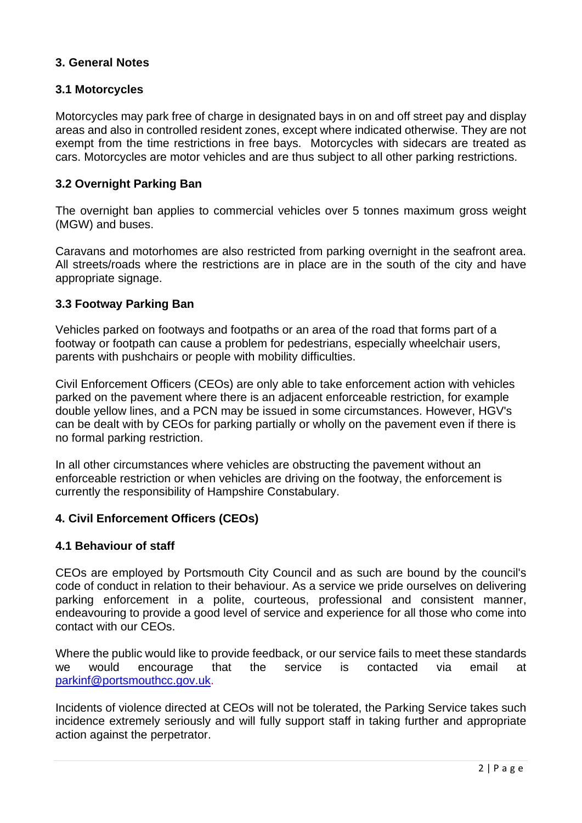# **3. General Notes**

#### **3.1 Motorcycles**

Motorcycles may park free of charge in designated bays in on and off street pay and display areas and also in controlled resident zones, except where indicated otherwise. They are not exempt from the time restrictions in free bays. Motorcycles with sidecars are treated as cars. Motorcycles are motor vehicles and are thus subject to all other parking restrictions.

#### **3.2 Overnight Parking Ban**

The overnight ban applies to commercial vehicles over 5 tonnes maximum gross weight (MGW) and buses.

Caravans and motorhomes are also restricted from parking overnight in the seafront area. All streets/roads where the restrictions are in place are in the south of the city and have appropriate signage.

#### **3.3 Footway Parking Ban**

Vehicles parked on footways and footpaths or an area of the road that forms part of a footway or footpath can cause a problem for pedestrians, especially wheelchair users, parents with pushchairs or people with mobility difficulties.

Civil Enforcement Officers (CEOs) are only able to take enforcement action with vehicles parked on the pavement where there is an adjacent enforceable restriction, for example double yellow lines, and a PCN may be issued in some circumstances. However, HGV's can be dealt with by CEOs for parking partially or wholly on the pavement even if there is no formal parking restriction.

In all other circumstances where vehicles are obstructing the pavement without an enforceable restriction or when vehicles are driving on the footway, the enforcement is currently the responsibility of Hampshire Constabulary.

#### **4. Civil Enforcement Officers (CEOs)**

#### **4.1 Behaviour of staff**

CEOs are employed by Portsmouth City Council and as such are bound by the council's code of conduct in relation to their behaviour. As a service we pride ourselves on delivering parking enforcement in a polite, courteous, professional and consistent manner, endeavouring to provide a good level of service and experience for all those who come into contact with our CEOs.

Where the public would like to provide feedback, or our service fails to meet these standards we would encourage that the service is contacted via email at [parkinf@portsmouthcc.gov.uk.](mailto:parkinf@portsmouthcc.gov.uk)

Incidents of violence directed at CEOs will not be tolerated, the Parking Service takes such incidence extremely seriously and will fully support staff in taking further and appropriate action against the perpetrator.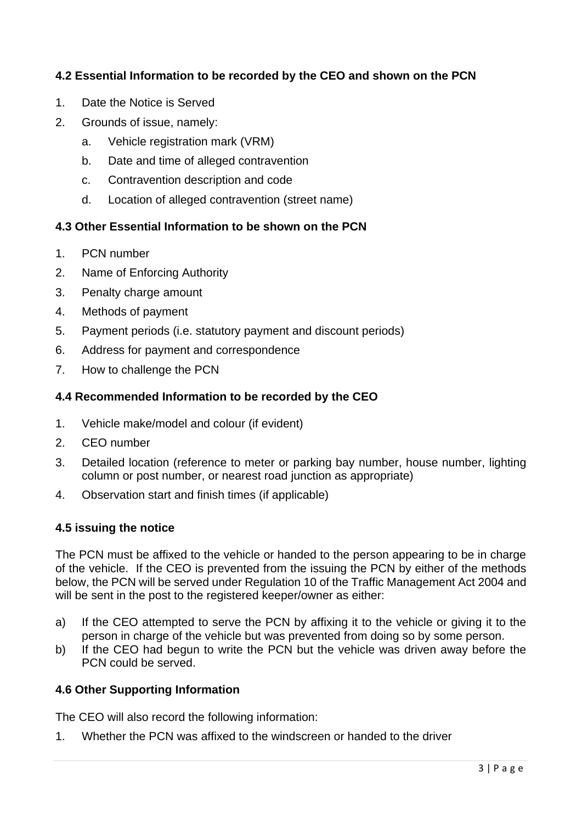# **4.2 Essential Information to be recorded by the CEO and shown on the PCN**

- 1. Date the Notice is Served
- 2. Grounds of issue, namely:
	- a. Vehicle registration mark (VRM)
	- b. Date and time of alleged contravention
	- c. Contravention description and code
	- d. Location of alleged contravention (street name)

### **4.3 Other Essential Information to be shown on the PCN**

- 1. PCN number
- 2. Name of Enforcing Authority
- 3. Penalty charge amount
- 4. Methods of payment
- 5. Payment periods (i.e. statutory payment and discount periods)
- 6. Address for payment and correspondence
- 7. How to challenge the PCN

#### **4.4 Recommended Information to be recorded by the CEO**

- 1. Vehicle make/model and colour (if evident)
- 2. CEO number
- 3. Detailed location (reference to meter or parking bay number, house number, lighting column or post number, or nearest road junction as appropriate)
- 4. Observation start and finish times (if applicable)

#### **4.5 issuing the notice**

The PCN must be affixed to the vehicle or handed to the person appearing to be in charge of the vehicle. If the CEO is prevented from the issuing the PCN by either of the methods below, the PCN will be served under Regulation 10 of the Traffic Management Act 2004 and will be sent in the post to the registered keeper/owner as either:

- a) If the CEO attempted to serve the PCN by affixing it to the vehicle or giving it to the person in charge of the vehicle but was prevented from doing so by some person.
- b) If the CEO had begun to write the PCN but the vehicle was driven away before the PCN could be served.

#### **4.6 Other Supporting Information**

The CEO will also record the following information:

1. Whether the PCN was affixed to the windscreen or handed to the driver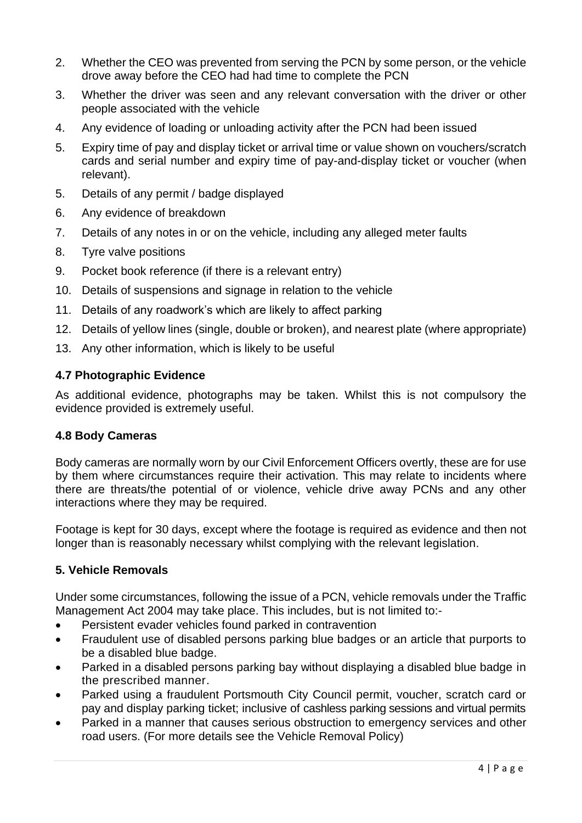- 2. Whether the CEO was prevented from serving the PCN by some person, or the vehicle drove away before the CEO had had time to complete the PCN
- 3. Whether the driver was seen and any relevant conversation with the driver or other people associated with the vehicle
- 4. Any evidence of loading or unloading activity after the PCN had been issued
- 5. Expiry time of pay and display ticket or arrival time or value shown on vouchers/scratch cards and serial number and expiry time of pay-and-display ticket or voucher (when relevant).
- 5. Details of any permit / badge displayed
- 6. Any evidence of breakdown
- 7. Details of any notes in or on the vehicle, including any alleged meter faults
- 8. Tyre valve positions
- 9. Pocket book reference (if there is a relevant entry)
- 10. Details of suspensions and signage in relation to the vehicle
- 11. Details of any roadwork's which are likely to affect parking
- 12. Details of yellow lines (single, double or broken), and nearest plate (where appropriate)
- 13. Any other information, which is likely to be useful

# **4.7 Photographic Evidence**

As additional evidence, photographs may be taken. Whilst this is not compulsory the evidence provided is extremely useful.

# **4.8 Body Cameras**

Body cameras are normally worn by our Civil Enforcement Officers overtly, these are for use by them where circumstances require their activation. This may relate to incidents where there are threats/the potential of or violence, vehicle drive away PCNs and any other interactions where they may be required.

Footage is kept for 30 days, except where the footage is required as evidence and then not longer than is reasonably necessary whilst complying with the relevant legislation.

# **5. Vehicle Removals**

Under some circumstances, following the issue of a PCN, vehicle removals under the Traffic Management Act 2004 may take place. This includes, but is not limited to:-

- Persistent evader vehicles found parked in contravention
- Fraudulent use of disabled persons parking blue badges or an article that purports to be a disabled blue badge.
- Parked in a disabled persons parking bay without displaying a disabled blue badge in the prescribed manner.
- Parked using a fraudulent Portsmouth City Council permit, voucher, scratch card or pay and display parking ticket; inclusive of cashless parking sessions and virtual permits
- Parked in a manner that causes serious obstruction to emergency services and other road users. (For more details see the Vehicle Removal Policy)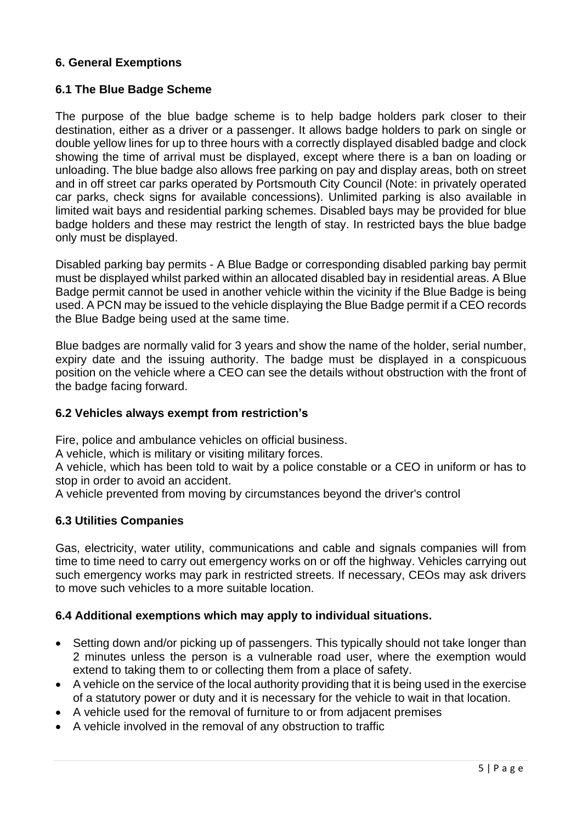# **6. General Exemptions**

#### **6.1 The Blue Badge Scheme**

The purpose of the blue badge scheme is to help badge holders park closer to their destination, either as a driver or a passenger. It allows badge holders to park on single or double yellow lines for up to three hours with a correctly displayed disabled badge and clock showing the time of arrival must be displayed, except where there is a ban on loading or unloading. The blue badge also allows free parking on pay and display areas, both on street and in off street car parks operated by Portsmouth City Council (Note: in privately operated car parks, check signs for available concessions). Unlimited parking is also available in limited wait bays and residential parking schemes. Disabled bays may be provided for blue badge holders and these may restrict the length of stay. In restricted bays the blue badge only must be displayed.

Disabled parking bay permits - A Blue Badge or corresponding disabled parking bay permit must be displayed whilst parked within an allocated disabled bay in residential areas. A Blue Badge permit cannot be used in another vehicle within the vicinity if the Blue Badge is being used. A PCN may be issued to the vehicle displaying the Blue Badge permit if a CEO records the Blue Badge being used at the same time.

Blue badges are normally valid for 3 years and show the name of the holder, serial number, expiry date and the issuing authority. The badge must be displayed in a conspicuous position on the vehicle where a CEO can see the details without obstruction with the front of the badge facing forward.

#### **6.2 Vehicles always exempt from restriction's**

Fire, police and ambulance vehicles on official business.

A vehicle, which is military or visiting military forces.

A vehicle, which has been told to wait by a police constable or a CEO in uniform or has to stop in order to avoid an accident.

A vehicle prevented from moving by circumstances beyond the driver's control

#### **6.3 Utilities Companies**

Gas, electricity, water utility, communications and cable and signals companies will from time to time need to carry out emergency works on or off the highway. Vehicles carrying out such emergency works may park in restricted streets. If necessary, CEOs may ask drivers to move such vehicles to a more suitable location.

#### **6.4 Additional exemptions which may apply to individual situations.**

- Setting down and/or picking up of passengers. This typically should not take longer than 2 minutes unless the person is a vulnerable road user, where the exemption would extend to taking them to or collecting them from a place of safety.
- A vehicle on the service of the local authority providing that it is being used in the exercise of a statutory power or duty and it is necessary for the vehicle to wait in that location.
- A vehicle used for the removal of furniture to or from adjacent premises
- A vehicle involved in the removal of any obstruction to traffic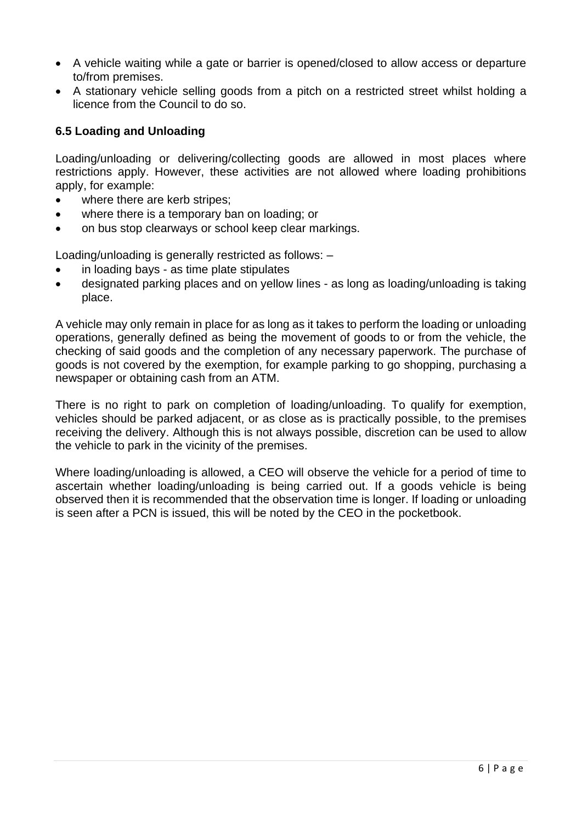- A vehicle waiting while a gate or barrier is opened/closed to allow access or departure to/from premises.
- A stationary vehicle selling goods from a pitch on a restricted street whilst holding a licence from the Council to do so.

# **6.5 Loading and Unloading**

Loading/unloading or delivering/collecting goods are allowed in most places where restrictions apply. However, these activities are not allowed where loading prohibitions apply, for example:

- where there are kerb stripes:
- where there is a temporary ban on loading; or
- on bus stop clearways or school keep clear markings.

Loading/unloading is generally restricted as follows: –

- in loading bays as time plate stipulates
- designated parking places and on yellow lines as long as loading/unloading is taking place.

A vehicle may only remain in place for as long as it takes to perform the loading or unloading operations, generally defined as being the movement of goods to or from the vehicle, the checking of said goods and the completion of any necessary paperwork. The purchase of goods is not covered by the exemption, for example parking to go shopping, purchasing a newspaper or obtaining cash from an ATM.

There is no right to park on completion of loading/unloading. To qualify for exemption, vehicles should be parked adjacent, or as close as is practically possible, to the premises receiving the delivery. Although this is not always possible, discretion can be used to allow the vehicle to park in the vicinity of the premises.

Where loading/unloading is allowed, a CEO will observe the vehicle for a period of time to ascertain whether loading/unloading is being carried out. If a goods vehicle is being observed then it is recommended that the observation time is longer. If loading or unloading is seen after a PCN is issued, this will be noted by the CEO in the pocketbook.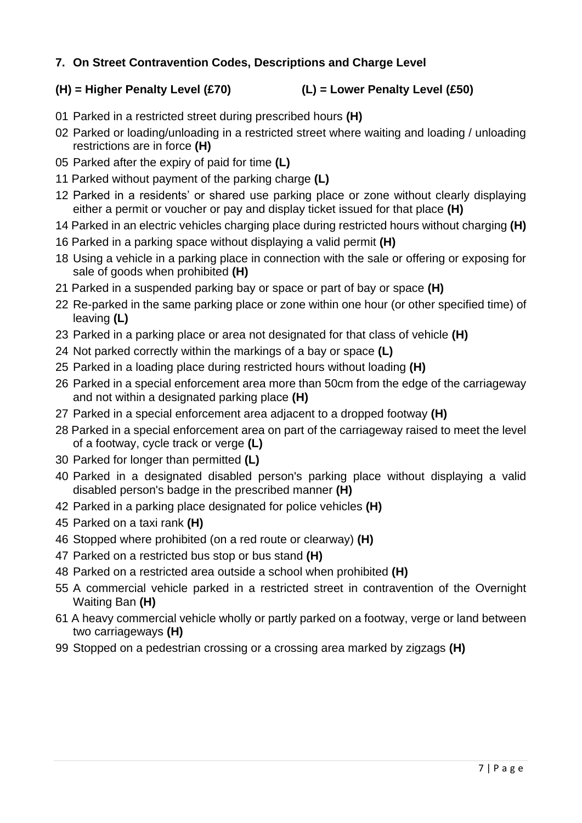# **7. On Street Contravention Codes, Descriptions and Charge Level**

# **(H) = Higher Penalty Level (£70) (L) = Lower Penalty Level (£50)**

- 01 Parked in a restricted street during prescribed hours **(H)**
- 02 Parked or loading/unloading in a restricted street where waiting and loading / unloading restrictions are in force **(H)**
- 05 Parked after the expiry of paid for time **(L)**
- 11 Parked without payment of the parking charge **(L)**
- 12 Parked in a residents' or shared use parking place or zone without clearly displaying either a permit or voucher or pay and display ticket issued for that place **(H)**
- 14 Parked in an electric vehicles charging place during restricted hours without charging **(H)**
- 16 Parked in a parking space without displaying a valid permit **(H)**
- 18 Using a vehicle in a parking place in connection with the sale or offering or exposing for sale of goods when prohibited **(H)**
- 21 Parked in a suspended parking bay or space or part of bay or space **(H)**
- 22 Re-parked in the same parking place or zone within one hour (or other specified time) of leaving **(L)**
- 23 Parked in a parking place or area not designated for that class of vehicle **(H)**
- 24 Not parked correctly within the markings of a bay or space **(L)**
- 25 Parked in a loading place during restricted hours without loading **(H)**
- 26 Parked in a special enforcement area more than 50cm from the edge of the carriageway and not within a designated parking place **(H)**
- 27 Parked in a special enforcement area adjacent to a dropped footway **(H)**
- 28 Parked in a special enforcement area on part of the carriageway raised to meet the level of a footway, cycle track or verge **(L)**
- 30 Parked for longer than permitted **(L)**
- 40 Parked in a designated disabled person's parking place without displaying a valid disabled person's badge in the prescribed manner **(H)**
- 42 Parked in a parking place designated for police vehicles **(H)**
- 45 Parked on a taxi rank **(H)**
- 46 Stopped where prohibited (on a red route or clearway) **(H)**
- 47 Parked on a restricted bus stop or bus stand **(H)**
- 48 Parked on a restricted area outside a school when prohibited **(H)**
- 55 A commercial vehicle parked in a restricted street in contravention of the Overnight Waiting Ban **(H)**
- 61 A heavy commercial vehicle wholly or partly parked on a footway, verge or land between two carriageways **(H)**
- 99 Stopped on a pedestrian crossing or a crossing area marked by zigzags **(H)**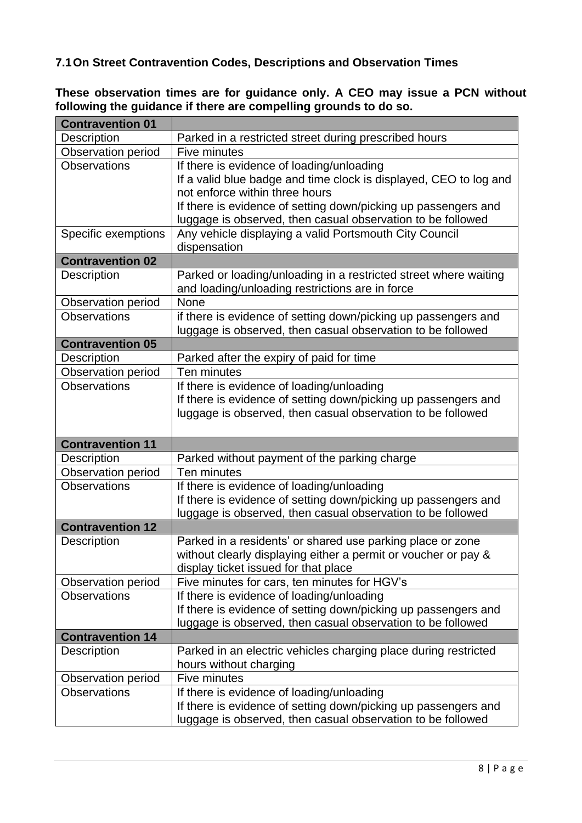# **7.1On Street Contravention Codes, Descriptions and Observation Times**

**These observation times are for guidance only. A CEO may issue a PCN without following the guidance if there are compelling grounds to do so.** 

| <b>Contravention 01</b> |                                                                                                                               |
|-------------------------|-------------------------------------------------------------------------------------------------------------------------------|
| Description             | Parked in a restricted street during prescribed hours                                                                         |
| Observation period      | Five minutes                                                                                                                  |
| <b>Observations</b>     | If there is evidence of loading/unloading                                                                                     |
|                         | If a valid blue badge and time clock is displayed, CEO to log and                                                             |
|                         | not enforce within three hours                                                                                                |
|                         | If there is evidence of setting down/picking up passengers and                                                                |
|                         | luggage is observed, then casual observation to be followed                                                                   |
| Specific exemptions     | Any vehicle displaying a valid Portsmouth City Council                                                                        |
|                         | dispensation                                                                                                                  |
| <b>Contravention 02</b> |                                                                                                                               |
| Description             | Parked or loading/unloading in a restricted street where waiting                                                              |
|                         | and loading/unloading restrictions are in force                                                                               |
| Observation period      | None                                                                                                                          |
| <b>Observations</b>     | if there is evidence of setting down/picking up passengers and                                                                |
|                         | luggage is observed, then casual observation to be followed                                                                   |
| <b>Contravention 05</b> |                                                                                                                               |
| Description             | Parked after the expiry of paid for time                                                                                      |
| Observation period      | Ten minutes                                                                                                                   |
| <b>Observations</b>     | If there is evidence of loading/unloading                                                                                     |
|                         | If there is evidence of setting down/picking up passengers and                                                                |
|                         | luggage is observed, then casual observation to be followed                                                                   |
|                         |                                                                                                                               |
|                         |                                                                                                                               |
| <b>Contravention 11</b> |                                                                                                                               |
| Description             | Parked without payment of the parking charge                                                                                  |
| Observation period      | Ten minutes                                                                                                                   |
| <b>Observations</b>     | If there is evidence of loading/unloading                                                                                     |
|                         | If there is evidence of setting down/picking up passengers and                                                                |
|                         | luggage is observed, then casual observation to be followed                                                                   |
| <b>Contravention 12</b> |                                                                                                                               |
| Description             | Parked in a residents' or shared use parking place or zone                                                                    |
|                         | without clearly displaying either a permit or voucher or pay &                                                                |
|                         | display ticket issued for that place                                                                                          |
| Observation period      | Five minutes for cars, ten minutes for HGV's                                                                                  |
| <b>Observations</b>     | If there is evidence of loading/unloading                                                                                     |
|                         | If there is evidence of setting down/picking up passengers and                                                                |
|                         | luggage is observed, then casual observation to be followed                                                                   |
| <b>Contravention 14</b> |                                                                                                                               |
| Description             | Parked in an electric vehicles charging place during restricted                                                               |
|                         | hours without charging                                                                                                        |
| Observation period      | Five minutes                                                                                                                  |
| <b>Observations</b>     | If there is evidence of loading/unloading                                                                                     |
|                         | If there is evidence of setting down/picking up passengers and<br>luggage is observed, then casual observation to be followed |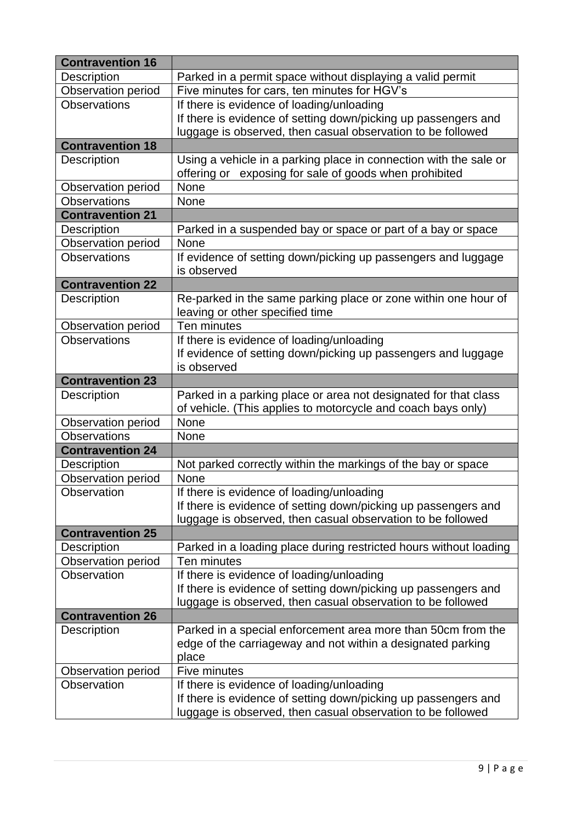| <b>Contravention 16</b> |                                                                   |
|-------------------------|-------------------------------------------------------------------|
| Description             | Parked in a permit space without displaying a valid permit        |
| Observation period      | Five minutes for cars, ten minutes for HGV's                      |
| <b>Observations</b>     | If there is evidence of loading/unloading                         |
|                         | If there is evidence of setting down/picking up passengers and    |
|                         | luggage is observed, then casual observation to be followed       |
| <b>Contravention 18</b> |                                                                   |
| Description             | Using a vehicle in a parking place in connection with the sale or |
|                         | offering or exposing for sale of goods when prohibited            |
| Observation period      | None                                                              |
| <b>Observations</b>     | None                                                              |
| <b>Contravention 21</b> |                                                                   |
| Description             | Parked in a suspended bay or space or part of a bay or space      |
| Observation period      | None                                                              |
| <b>Observations</b>     | If evidence of setting down/picking up passengers and luggage     |
|                         | is observed                                                       |
| <b>Contravention 22</b> |                                                                   |
| Description             | Re-parked in the same parking place or zone within one hour of    |
|                         | leaving or other specified time                                   |
| Observation period      | Ten minutes                                                       |
| <b>Observations</b>     | If there is evidence of loading/unloading                         |
|                         | If evidence of setting down/picking up passengers and luggage     |
|                         | is observed                                                       |
| <b>Contravention 23</b> |                                                                   |
| <b>Description</b>      | Parked in a parking place or area not designated for that class   |
|                         | of vehicle. (This applies to motorcycle and coach bays only)      |
| Observation period      | None                                                              |
| <b>Observations</b>     | None                                                              |
| <b>Contravention 24</b> |                                                                   |
| Description             | Not parked correctly within the markings of the bay or space      |
| Observation period      | None                                                              |
| Observation             | If there is evidence of loading/unloading                         |
|                         | If there is evidence of setting down/picking up passengers and    |
|                         | luggage is observed, then casual observation to be followed       |
| <b>Contravention 25</b> |                                                                   |
| <b>Description</b>      | Parked in a loading place during restricted hours without loading |
| Observation period      | Ten minutes                                                       |
| Observation             | If there is evidence of loading/unloading                         |
|                         | If there is evidence of setting down/picking up passengers and    |
|                         | luggage is observed, then casual observation to be followed       |
| <b>Contravention 26</b> |                                                                   |
| <b>Description</b>      | Parked in a special enforcement area more than 50cm from the      |
|                         | edge of the carriageway and not within a designated parking       |
|                         | place                                                             |
| Observation period      | Five minutes                                                      |
| Observation             | If there is evidence of loading/unloading                         |
|                         | If there is evidence of setting down/picking up passengers and    |
|                         | luggage is observed, then casual observation to be followed       |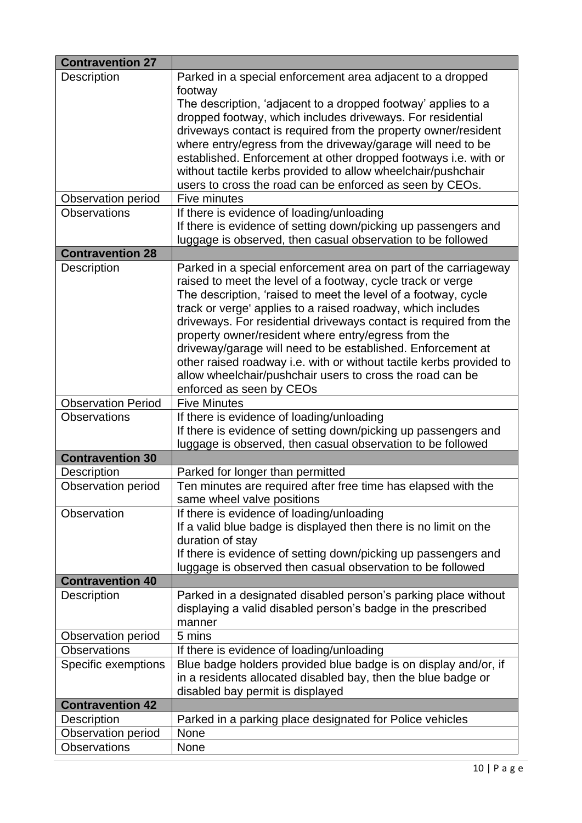| <b>Contravention 27</b>   |                                                                     |
|---------------------------|---------------------------------------------------------------------|
| Description               | Parked in a special enforcement area adjacent to a dropped          |
|                           | footway                                                             |
|                           | The description, 'adjacent to a dropped footway' applies to a       |
|                           | dropped footway, which includes driveways. For residential          |
|                           | driveways contact is required from the property owner/resident      |
|                           | where entry/egress from the driveway/garage will need to be         |
|                           | established. Enforcement at other dropped footways i.e. with or     |
|                           | without tactile kerbs provided to allow wheelchair/pushchair        |
|                           | users to cross the road can be enforced as seen by CEOs.            |
| Observation period        | Five minutes                                                        |
| <b>Observations</b>       | If there is evidence of loading/unloading                           |
|                           | If there is evidence of setting down/picking up passengers and      |
|                           | luggage is observed, then casual observation to be followed         |
| <b>Contravention 28</b>   |                                                                     |
| Description               | Parked in a special enforcement area on part of the carriageway     |
|                           | raised to meet the level of a footway, cycle track or verge         |
|                           | The description, 'raised to meet the level of a footway, cycle      |
|                           | track or verge' applies to a raised roadway, which includes         |
|                           | driveways. For residential driveways contact is required from the   |
|                           | property owner/resident where entry/egress from the                 |
|                           | driveway/garage will need to be established. Enforcement at         |
|                           | other raised roadway i.e. with or without tactile kerbs provided to |
|                           | allow wheelchair/pushchair users to cross the road can be           |
|                           | enforced as seen by CEOs                                            |
| <b>Observation Period</b> | <b>Five Minutes</b>                                                 |
| <b>Observations</b>       | If there is evidence of loading/unloading                           |
|                           | If there is evidence of setting down/picking up passengers and      |
|                           | luggage is observed, then casual observation to be followed         |
| <b>Contravention 30</b>   |                                                                     |
| <b>Description</b>        | Parked for longer than permitted                                    |
| Observation period        | Ten minutes are required after free time has elapsed with the       |
|                           | same wheel valve positions                                          |
| Observation               | If there is evidence of loading/unloading                           |
|                           | If a valid blue badge is displayed then there is no limit on the    |
|                           | duration of stay                                                    |
|                           | If there is evidence of setting down/picking up passengers and      |
|                           | luggage is observed then casual observation to be followed          |
| <b>Contravention 40</b>   |                                                                     |
| <b>Description</b>        | Parked in a designated disabled person's parking place without      |
|                           | displaying a valid disabled person's badge in the prescribed        |
|                           | manner                                                              |
| Observation period        | 5 mins                                                              |
| <b>Observations</b>       | If there is evidence of loading/unloading                           |
| Specific exemptions       | Blue badge holders provided blue badge is on display and/or, if     |
|                           | in a residents allocated disabled bay, then the blue badge or       |
|                           | disabled bay permit is displayed                                    |
| <b>Contravention 42</b>   |                                                                     |
| Description               | Parked in a parking place designated for Police vehicles            |
| Observation period        | None                                                                |
| <b>Observations</b>       | None                                                                |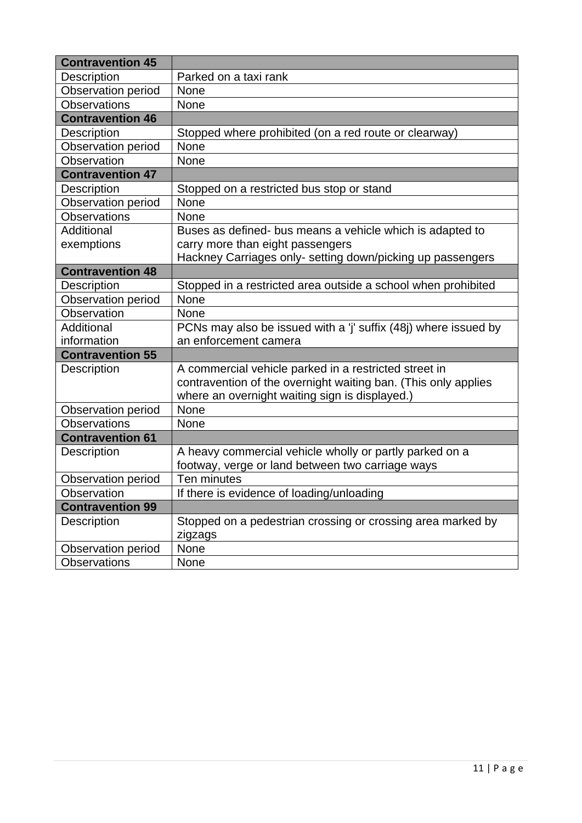| <b>Contravention 45</b>   |                                                                |  |  |
|---------------------------|----------------------------------------------------------------|--|--|
| Description               | Parked on a taxi rank                                          |  |  |
| <b>Observation period</b> | <b>None</b>                                                    |  |  |
| <b>Observations</b>       | None                                                           |  |  |
| <b>Contravention 46</b>   |                                                                |  |  |
| <b>Description</b>        | Stopped where prohibited (on a red route or clearway)          |  |  |
| Observation period        | None                                                           |  |  |
| Observation               | None                                                           |  |  |
| <b>Contravention 47</b>   |                                                                |  |  |
| <b>Description</b>        | Stopped on a restricted bus stop or stand                      |  |  |
| <b>Observation period</b> | None                                                           |  |  |
| <b>Observations</b>       | None                                                           |  |  |
| Additional                | Buses as defined- bus means a vehicle which is adapted to      |  |  |
| exemptions                | carry more than eight passengers                               |  |  |
|                           | Hackney Carriages only- setting down/picking up passengers     |  |  |
| <b>Contravention 48</b>   |                                                                |  |  |
| <b>Description</b>        | Stopped in a restricted area outside a school when prohibited  |  |  |
| Observation period        | <b>None</b>                                                    |  |  |
| Observation               | <b>None</b>                                                    |  |  |
| Additional                | PCNs may also be issued with a 'j' suffix (48) where issued by |  |  |
| information               | an enforcement camera                                          |  |  |
| <b>Contravention 55</b>   |                                                                |  |  |
| Description               | A commercial vehicle parked in a restricted street in          |  |  |
|                           | contravention of the overnight waiting ban. (This only applies |  |  |
|                           | where an overnight waiting sign is displayed.)                 |  |  |
| <b>Observation period</b> | None                                                           |  |  |
| <b>Observations</b>       | None                                                           |  |  |
| <b>Contravention 61</b>   |                                                                |  |  |
| Description               | A heavy commercial vehicle wholly or partly parked on a        |  |  |
|                           | footway, verge or land between two carriage ways               |  |  |
| <b>Observation period</b> | Ten minutes                                                    |  |  |
| Observation               | If there is evidence of loading/unloading                      |  |  |
| <b>Contravention 99</b>   |                                                                |  |  |
| Description               | Stopped on a pedestrian crossing or crossing area marked by    |  |  |
|                           | zigzags                                                        |  |  |
| Observation period        | None                                                           |  |  |
| <b>Observations</b>       | None                                                           |  |  |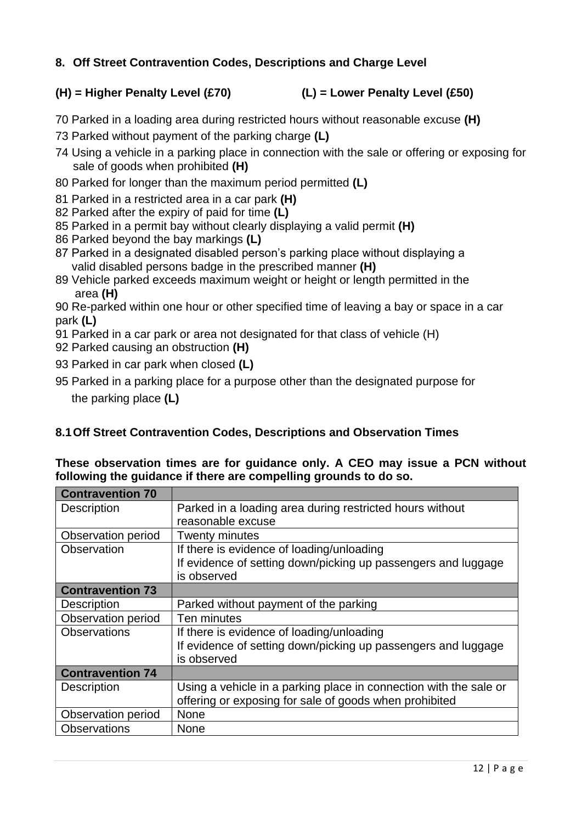# **8. Off Street Contravention Codes, Descriptions and Charge Level**

# **(H) = Higher Penalty Level (£70) (L) = Lower Penalty Level (£50)**

- 70 Parked in a loading area during restricted hours without reasonable excuse **(H)**
- 73 Parked without payment of the parking charge **(L)**
- 74 Using a vehicle in a parking place in connection with the sale or offering or exposing for sale of goods when prohibited **(H)**
- 80 Parked for longer than the maximum period permitted **(L)**
- 81 Parked in a restricted area in a car park **(H)**
- 82 Parked after the expiry of paid for time **(L)**
- 85 Parked in a permit bay without clearly displaying a valid permit **(H)**
- 86 Parked beyond the bay markings **(L)**
- 87 Parked in a designated disabled person's parking place without displaying a valid disabled persons badge in the prescribed manner **(H)**
- 89 Vehicle parked exceeds maximum weight or height or length permitted in the area **(H)**

90 Re-parked within one hour or other specified time of leaving a bay or space in a car park **(L)**

91 Parked in a car park or area not designated for that class of vehicle (H)

- 92 Parked causing an obstruction **(H)**
- 93 Parked in car park when closed **(L)**
- 95 Parked in a parking place for a purpose other than the designated purpose for the parking place **(L)**

# **8.1Off Street Contravention Codes, Descriptions and Observation Times**

#### **These observation times are for guidance only. A CEO may issue a PCN without following the guidance if there are compelling grounds to do so.**

| <b>Contravention 70</b> |                                                                   |
|-------------------------|-------------------------------------------------------------------|
| <b>Description</b>      | Parked in a loading area during restricted hours without          |
|                         | reasonable excuse                                                 |
| Observation period      | <b>Twenty minutes</b>                                             |
| Observation             | If there is evidence of loading/unloading                         |
|                         | If evidence of setting down/picking up passengers and luggage     |
|                         | is observed                                                       |
| <b>Contravention 73</b> |                                                                   |
| <b>Description</b>      | Parked without payment of the parking                             |
| Observation period      | Ten minutes                                                       |
| <b>Observations</b>     | If there is evidence of loading/unloading                         |
|                         | If evidence of setting down/picking up passengers and luggage     |
|                         | is observed                                                       |
| <b>Contravention 74</b> |                                                                   |
| <b>Description</b>      | Using a vehicle in a parking place in connection with the sale or |
|                         | offering or exposing for sale of goods when prohibited            |
| Observation period      | None                                                              |
| <b>Observations</b>     | None                                                              |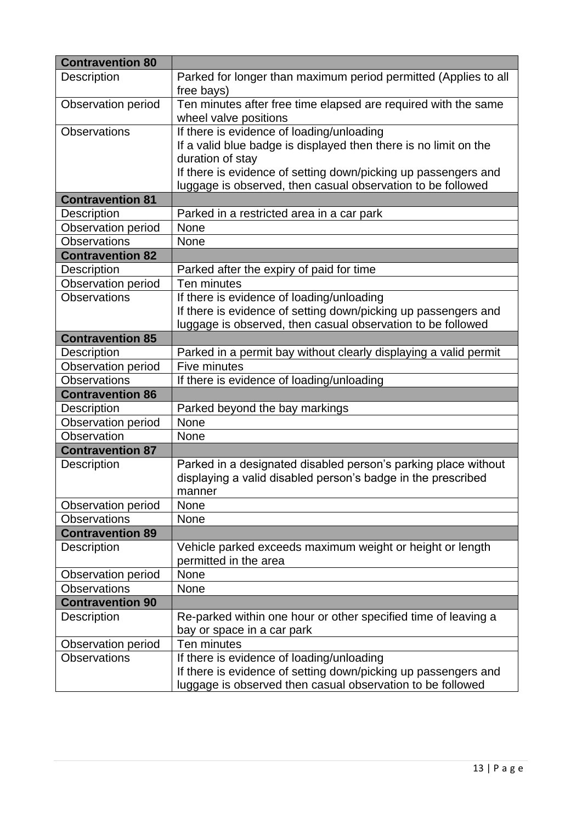| <b>Contravention 80</b>                                                                                                   |                                                                                                                                                                                                                                                                                                          |
|---------------------------------------------------------------------------------------------------------------------------|----------------------------------------------------------------------------------------------------------------------------------------------------------------------------------------------------------------------------------------------------------------------------------------------------------|
| Description                                                                                                               | Parked for longer than maximum period permitted (Applies to all                                                                                                                                                                                                                                          |
|                                                                                                                           | free bays)                                                                                                                                                                                                                                                                                               |
| Observation period                                                                                                        | Ten minutes after free time elapsed are required with the same                                                                                                                                                                                                                                           |
|                                                                                                                           | wheel valve positions                                                                                                                                                                                                                                                                                    |
| <b>Observations</b>                                                                                                       | If there is evidence of loading/unloading                                                                                                                                                                                                                                                                |
|                                                                                                                           | If a valid blue badge is displayed then there is no limit on the                                                                                                                                                                                                                                         |
|                                                                                                                           | duration of stay                                                                                                                                                                                                                                                                                         |
|                                                                                                                           | If there is evidence of setting down/picking up passengers and                                                                                                                                                                                                                                           |
|                                                                                                                           | luggage is observed, then casual observation to be followed                                                                                                                                                                                                                                              |
| <b>Contravention 81</b>                                                                                                   |                                                                                                                                                                                                                                                                                                          |
| Description                                                                                                               | Parked in a restricted area in a car park                                                                                                                                                                                                                                                                |
| Observation period                                                                                                        | None                                                                                                                                                                                                                                                                                                     |
| <b>Observations</b>                                                                                                       | None                                                                                                                                                                                                                                                                                                     |
| <b>Contravention 82</b>                                                                                                   |                                                                                                                                                                                                                                                                                                          |
| Description                                                                                                               | Parked after the expiry of paid for time                                                                                                                                                                                                                                                                 |
| <b>Observation period</b>                                                                                                 | Ten minutes                                                                                                                                                                                                                                                                                              |
| <b>Observations</b>                                                                                                       | If there is evidence of loading/unloading                                                                                                                                                                                                                                                                |
|                                                                                                                           | If there is evidence of setting down/picking up passengers and                                                                                                                                                                                                                                           |
|                                                                                                                           | luggage is observed, then casual observation to be followed                                                                                                                                                                                                                                              |
| <b>Contravention 85</b>                                                                                                   |                                                                                                                                                                                                                                                                                                          |
| Description                                                                                                               | Parked in a permit bay without clearly displaying a valid permit                                                                                                                                                                                                                                         |
| <b>Observation period</b>                                                                                                 | Five minutes                                                                                                                                                                                                                                                                                             |
| <b>Observations</b>                                                                                                       | If there is evidence of loading/unloading                                                                                                                                                                                                                                                                |
| <b>Contravention 86</b>                                                                                                   |                                                                                                                                                                                                                                                                                                          |
| <b>Description</b>                                                                                                        | Parked beyond the bay markings                                                                                                                                                                                                                                                                           |
| <b>Observation period</b>                                                                                                 | None                                                                                                                                                                                                                                                                                                     |
| Observation                                                                                                               | None                                                                                                                                                                                                                                                                                                     |
| <b>Contravention 87</b>                                                                                                   |                                                                                                                                                                                                                                                                                                          |
| Description                                                                                                               | Parked in a designated disabled person's parking place without                                                                                                                                                                                                                                           |
|                                                                                                                           | displaying a valid disabled person's badge in the prescribed                                                                                                                                                                                                                                             |
|                                                                                                                           | manner                                                                                                                                                                                                                                                                                                   |
| Observation period<br><b>Observations</b>                                                                                 | <b>None</b>                                                                                                                                                                                                                                                                                              |
| <b>Contravention 89</b>                                                                                                   | None                                                                                                                                                                                                                                                                                                     |
|                                                                                                                           |                                                                                                                                                                                                                                                                                                          |
| Description                                                                                                               | Vehicle parked exceeds maximum weight or height or length<br>permitted in the area                                                                                                                                                                                                                       |
|                                                                                                                           |                                                                                                                                                                                                                                                                                                          |
|                                                                                                                           |                                                                                                                                                                                                                                                                                                          |
|                                                                                                                           |                                                                                                                                                                                                                                                                                                          |
|                                                                                                                           |                                                                                                                                                                                                                                                                                                          |
|                                                                                                                           |                                                                                                                                                                                                                                                                                                          |
|                                                                                                                           |                                                                                                                                                                                                                                                                                                          |
|                                                                                                                           |                                                                                                                                                                                                                                                                                                          |
|                                                                                                                           |                                                                                                                                                                                                                                                                                                          |
|                                                                                                                           |                                                                                                                                                                                                                                                                                                          |
| Observation period<br><b>Observations</b><br><b>Contravention 90</b><br>Description<br>Observation period<br>Observations | None<br>None<br>Re-parked within one hour or other specified time of leaving a<br>bay or space in a car park<br>Ten minutes<br>If there is evidence of loading/unloading<br>If there is evidence of setting down/picking up passengers and<br>luggage is observed then casual observation to be followed |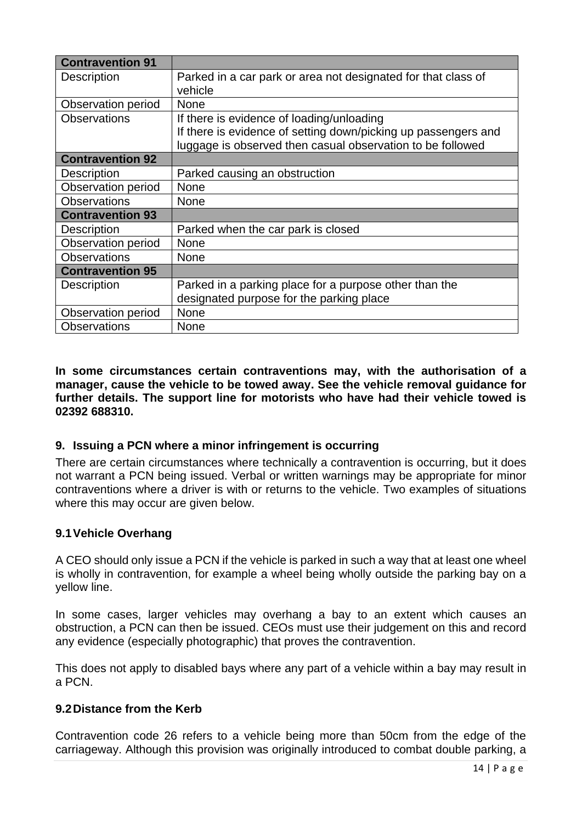| <b>Contravention 91</b>   |                                                                |
|---------------------------|----------------------------------------------------------------|
| Description               | Parked in a car park or area not designated for that class of  |
|                           | vehicle                                                        |
| Observation period        | None                                                           |
| <b>Observations</b>       | If there is evidence of loading/unloading                      |
|                           | If there is evidence of setting down/picking up passengers and |
|                           | luggage is observed then casual observation to be followed     |
| <b>Contravention 92</b>   |                                                                |
| Description               | Parked causing an obstruction                                  |
| <b>Observation period</b> | None                                                           |
| <b>Observations</b>       | <b>None</b>                                                    |
| <b>Contravention 93</b>   |                                                                |
| Description               | Parked when the car park is closed                             |
| <b>Observation period</b> | None                                                           |
| <b>Observations</b>       | <b>None</b>                                                    |
| <b>Contravention 95</b>   |                                                                |
| <b>Description</b>        | Parked in a parking place for a purpose other than the         |
|                           | designated purpose for the parking place                       |
| Observation period        | <b>None</b>                                                    |
| <b>Observations</b>       | None                                                           |

**In some circumstances certain contraventions may, with the authorisation of a manager, cause the vehicle to be towed away. See the vehicle removal guidance for further details. The support line for motorists who have had their vehicle towed is 02392 688310.**

#### **9. Issuing a PCN where a minor infringement is occurring**

There are certain circumstances where technically a contravention is occurring, but it does not warrant a PCN being issued. Verbal or written warnings may be appropriate for minor contraventions where a driver is with or returns to the vehicle. Two examples of situations where this may occur are given below.

#### **9.1Vehicle Overhang**

A CEO should only issue a PCN if the vehicle is parked in such a way that at least one wheel is wholly in contravention, for example a wheel being wholly outside the parking bay on a yellow line.

In some cases, larger vehicles may overhang a bay to an extent which causes an obstruction, a PCN can then be issued. CEOs must use their judgement on this and record any evidence (especially photographic) that proves the contravention.

This does not apply to disabled bays where any part of a vehicle within a bay may result in a PCN.

#### **9.2Distance from the Kerb**

Contravention code 26 refers to a vehicle being more than 50cm from the edge of the carriageway. Although this provision was originally introduced to combat double parking, a